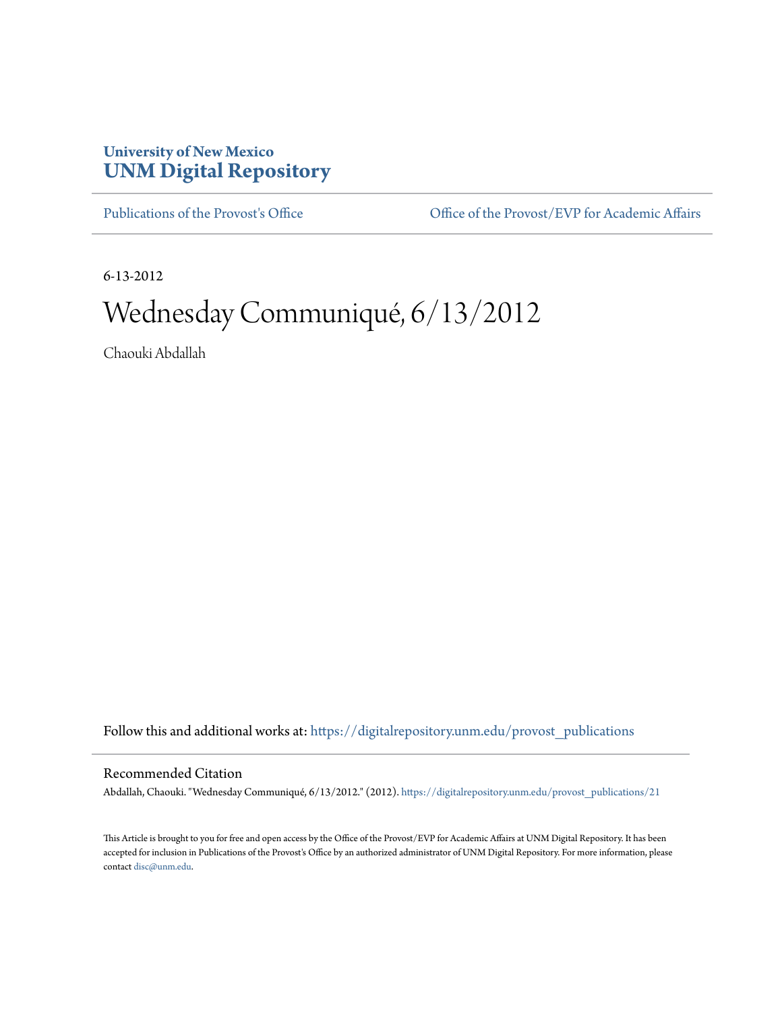## **University of New Mexico [UNM Digital Repository](https://digitalrepository.unm.edu?utm_source=digitalrepository.unm.edu%2Fprovost_publications%2F21&utm_medium=PDF&utm_campaign=PDFCoverPages)**

[Publications of the Provost's Office](https://digitalrepository.unm.edu/provost_publications?utm_source=digitalrepository.unm.edu%2Fprovost_publications%2F21&utm_medium=PDF&utm_campaign=PDFCoverPages) Office [Office of the Provost/EVP for Academic Affairs](https://digitalrepository.unm.edu/ofc_provost?utm_source=digitalrepository.unm.edu%2Fprovost_publications%2F21&utm_medium=PDF&utm_campaign=PDFCoverPages)

6-13-2012

## Wednesday Communiqué, 6/13/2012

Chaouki Abdallah

Follow this and additional works at: [https://digitalrepository.unm.edu/provost\\_publications](https://digitalrepository.unm.edu/provost_publications?utm_source=digitalrepository.unm.edu%2Fprovost_publications%2F21&utm_medium=PDF&utm_campaign=PDFCoverPages)

## Recommended Citation

Abdallah, Chaouki. "Wednesday Communiqué, 6/13/2012." (2012). [https://digitalrepository.unm.edu/provost\\_publications/21](https://digitalrepository.unm.edu/provost_publications/21?utm_source=digitalrepository.unm.edu%2Fprovost_publications%2F21&utm_medium=PDF&utm_campaign=PDFCoverPages)

This Article is brought to you for free and open access by the Office of the Provost/EVP for Academic Affairs at UNM Digital Repository. It has been accepted for inclusion in Publications of the Provost's Office by an authorized administrator of UNM Digital Repository. For more information, please contact [disc@unm.edu.](mailto:disc@unm.edu)